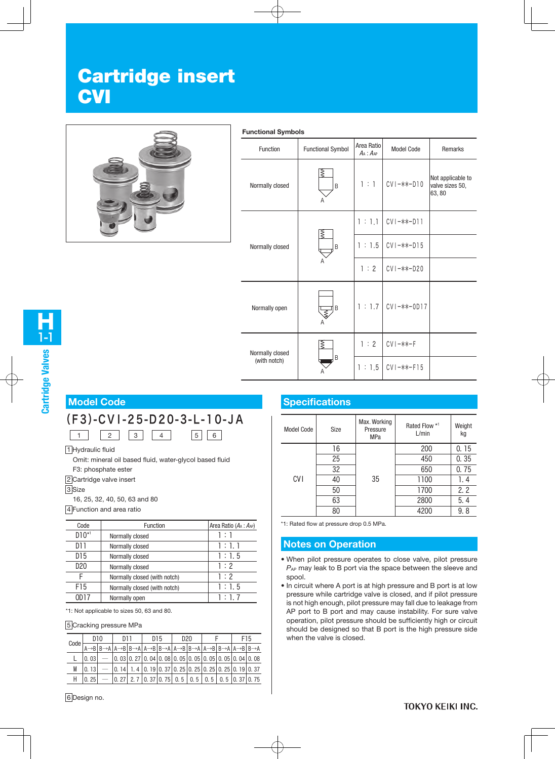# Cartridge insert **CVI**



#### **Functional Symbols**

| Function        | <b>Functional Symbol</b>      | Area Ratio<br>$A_A: A_{AP}$ | <b>Model Code</b> | Remarks                                       |
|-----------------|-------------------------------|-----------------------------|-------------------|-----------------------------------------------|
| Normally closed | ξ<br>B<br>Α                   | 1:1                         | $CVI - ** - D10$  | Not applicable to<br>valve sizes 50,<br>63,80 |
|                 |                               | 1:1.1                       | $CVI - *** - D11$ |                                               |
| Normally closed | ξ<br>B                        | 1:1.5                       | $CVI - *** - D15$ |                                               |
|                 | Α                             | 1:2                         | $CVI - **-D20$    |                                               |
| Normally open   | łв<br>$\overline{\mathbb{R}}$ | 1:1.7                       | $CVI - ** - OD17$ |                                               |
| Normally closed | ξ                             | 1:2                         | $CVI - *** - F$   |                                               |
| (with notch)    | B                             | 1:1.5                       | $CV1 - *** - F15$ |                                               |

# **Cartridge Valves**

1-1 H

#### **Model Code**

# (F3)-CVI-25-D20-3-L-10-JA

1 Hydraulic fluid

Omit: mineral oil based fluid, water-glycol based fluid

1 | 2 | 3 | 4 | 5 | 6

F3: phosphate ester

2 Cartridge valve insert

3<sub>Size</sub>

16, 25, 32, 40, 50, 63 and 80

4 Function and area ratio

| Code            | Function                     | Area Ratio $(A_A : A_{AP})$ |
|-----------------|------------------------------|-----------------------------|
| $D10^{*1}$      | Normally closed              | 1 : 1                       |
| D11             | Normally closed              | 1 : 1.1                     |
| D <sub>15</sub> | Normally closed              | 1:1.5                       |
| D20             | Normally closed              | 1:2                         |
|                 | Normally closed (with notch) | 1:2                         |
| F15             | Normally closed (with notch) | 1:1.5                       |
| ND 17           | Normally open                | 1:1.7                       |

\*1: Not applicable to sizes 50, 63 and 80.

#### 5 Cracking pressure MPa

|      |      | D <sub>10</sub> | D11 |                                                                                                                                               | D <sub>15</sub> | D <sub>20</sub> |  |  | F15                                                                                                                                                                                              |
|------|------|-----------------|-----|-----------------------------------------------------------------------------------------------------------------------------------------------|-----------------|-----------------|--|--|--------------------------------------------------------------------------------------------------------------------------------------------------------------------------------------------------|
| Code |      |                 |     |                                                                                                                                               |                 |                 |  |  | $\overline{A\rightarrow B B\rightarrow A A\rightarrow B B\rightarrow A A\rightarrow B B\rightarrow A A\rightarrow B B\rightarrow A A\rightarrow B B\rightarrow A A\rightarrow B B\rightarrow A}$ |
|      | 0.03 |                 |     | - $\vert$ 0. 03 $\vert$ 0. 27 $\vert$ 0. 04 $\vert$ 0. 08 $\vert$ 0. 05 $\vert$ 0. 05 $\vert$ 0. 05 $\vert$ 0. 05 $\vert$ 0. 04 $\vert$ 0. 08 |                 |                 |  |  |                                                                                                                                                                                                  |
| M    | 0.13 |                 |     | $ \vert$ 0. 14 $\vert$ 1. 4 $\vert$ 0. 19 $\vert$ 0. 37 $\vert$ 0. 25 $\vert$ 0. 25 $\vert$ 0. 25 $\vert$ 0. 25 $\vert$ 0. 19 $\vert$ 0. 37   |                 |                 |  |  |                                                                                                                                                                                                  |
|      | 0.25 |                 |     |                                                                                                                                               |                 |                 |  |  | - $\vert$ 0. 27   2. 7   0. 37   0. 75   0. 5   0. 5   0. 5   0. 5   0. 37   0. 75                                                                                                               |

# **Specifications**

| <b>Model Code</b> | Size | Max. Working<br>Pressure<br><b>MPa</b> | Rated Flow *1<br>L/min | Weight<br>kg |
|-------------------|------|----------------------------------------|------------------------|--------------|
|                   | 16   |                                        | 200                    | 0.15         |
|                   | 25   | 35                                     | 450                    | 0.35         |
|                   | 32   |                                        | 650                    | 0.75         |
| <b>CVI</b>        | 40   |                                        | 1100                   | 1. 4         |
|                   | 50   |                                        | 1700                   | 2.2          |
|                   | 63   |                                        | 2800                   | 5.4          |
|                   | 80   |                                        | 4200                   | 9.8          |

\*1: Rated flow at pressure drop 0.5 MPa.

## **Notes on Operation**

- When pilot pressure operates to close valve, pilot pressure *P*AP may leak to B port via the space between the sleeve and spool.
- In circuit where A port is at high pressure and B port is at low pressure while cartridge valve is closed, and if pilot pressure is not high enough, pilot pressure may fall due to leakage from AP port to B port and may cause instability. For sure valve operation, pilot pressure should be sufficiently high or circuit should be designed so that B port is the high pressure side when the valve is closed.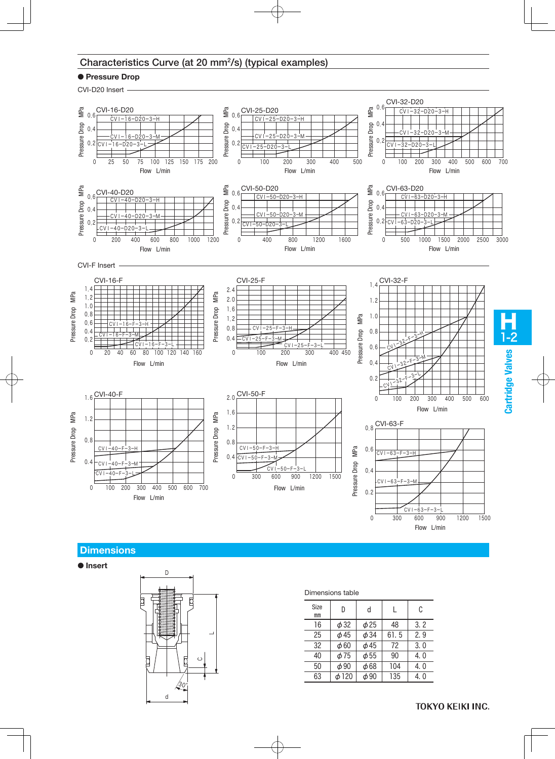#### Characteristics Curve (at 20 mm2/s) (typical examples)

#### ● **Pressure Drop**

CVI-D20 Insert



## **Dimensions**

● **Insert**



| Dimensions table |  |
|------------------|--|
|                  |  |

| Size<br>mm | D          | d         |      | C    |
|------------|------------|-----------|------|------|
| 16         | $\phi$ 32  | $\phi$ 25 | 48   | 3.2  |
| 25         | $\phi$ 45  | $\phi$ 34 | 61.5 | 2.9  |
| 32         | $\phi$ 60  | $\phi$ 45 | 72   | 3.0  |
| 40         | ф75        | $\phi$ 55 | 90   | 4. 0 |
| 50         | $\phi$ 90  | $\phi$ 68 | 104  | 4.0  |
| 63         | $\phi$ 120 | $\phi$ 90 | 135  | 4. 0 |

**TOKYO KEIKI INC.**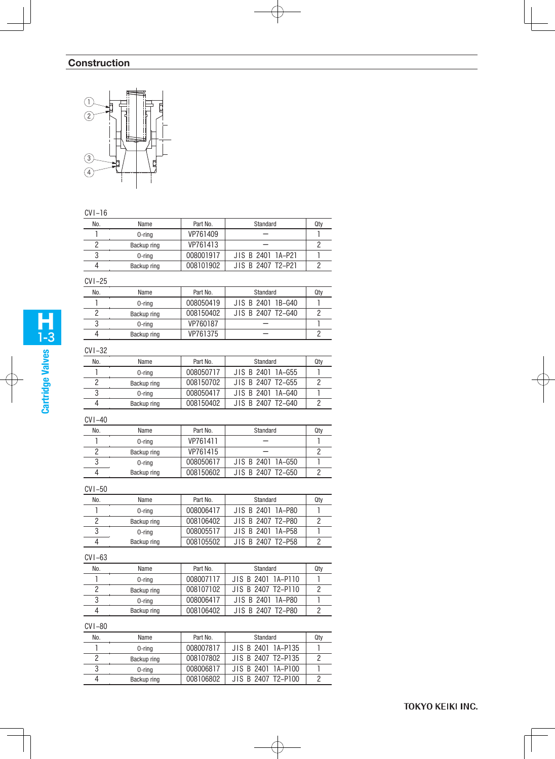# **Construction**



#### CVI-16

| No. | Name        | Part No.  | Standard          | Qty |
|-----|-------------|-----------|-------------------|-----|
|     | 0-ring      | VP761409  |                   |     |
|     | Backup ring | VP761413  |                   |     |
|     | 0-ring      | 008001917 | JIS B 2401 1A-P21 |     |
|     | Backup ring | 008101902 | JIS B 2407 T2-P21 |     |

# CVI-25

| No. | Name        | Part No.  | Standard          | Qty |
|-----|-------------|-----------|-------------------|-----|
|     | $0$ -ring   | 008050419 | JIS B 2401 1B-G40 |     |
|     | Backup ring | 008150402 | JIS B 2407 T2-G40 |     |
|     | 0-rina      | VP760187  |                   |     |
|     | Backup ring | VP761375  |                   |     |

# CVI-32

| No. | Name        | Part No.  | Standard          | Qty |
|-----|-------------|-----------|-------------------|-----|
|     | 0-ring      | 008050717 | JIS B 2401 1A-G55 |     |
|     | Backup ring | 008150702 | JIS B 2407 T2-G55 |     |
|     | 0-ring      | 008050417 | JIS B 2401 1A-G40 |     |
|     | Backup ring | 008150402 | JIS B 2407 T2-G40 |     |

# CVI-40

| No. | Name        | Part No.  | Standard          | Qty |
|-----|-------------|-----------|-------------------|-----|
|     | 0-rina      | VP761411  |                   |     |
|     | Backup ring | VP761415  |                   |     |
|     | 0-rina      | 008050617 | JIS B 2401 1A-G50 |     |
|     | Backup ring | 008150602 | JIS B 2407 T2-G50 |     |

#### CVI-50

| No. | Name        | Part No.  | Standard          | Qty |
|-----|-------------|-----------|-------------------|-----|
|     | 0-ring      | 008006417 | JIS B 2401 1A-P80 |     |
|     | Backup ring | 008106402 | JIS B 2407 T2-P80 |     |
|     | 0-ring      | 008005517 | JIS B 2401 1A-P58 |     |
|     | Backup ring | 008105502 | JIS B 2407 T2-P58 |     |

#### CVI-63

| No. | Name        | Part No.  | Standard           | Qty |
|-----|-------------|-----------|--------------------|-----|
|     | 0-ring      | 008007117 | JIS B 2401 1A-P110 |     |
|     | Backup ring | 008107102 | JIS B 2407 T2-P110 |     |
|     | 0-ring      | 008006417 | JIS B 2401 1A-P80  |     |
| 4   | Backup ring | 008106402 | JIS B 2407 T2-P80  |     |

#### CVI-80

| No. | Name        | Part No.  | Standard           | Qty |
|-----|-------------|-----------|--------------------|-----|
|     | $0$ -ring   | 008007817 | JIS B 2401 1A-P135 |     |
|     | Backup ring | 008107802 | JIS B 2407 T2-P135 |     |
|     | $0$ -ring   | 008006817 | JIS B 2401 1A-P100 |     |
|     | Backup ring | 008106802 | JIS B 2407 T2-P100 |     |